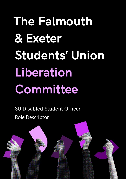# **The Falmouth & Exeter Students' Union Liberation Committee**

SU Disabled Student Officer Role Descriptor

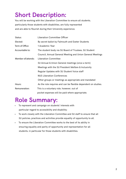## **Short Description:**

You will be working with the Liberation Committee to ensure all students, particularly those students with disabilities, are fully represented and are able to flourish during their University experience.

| Status:            | <b>Liberation Committee Officer</b>                            |
|--------------------|----------------------------------------------------------------|
| Elected:           | By secret ballot by Falmouth and Exeter Students               |
| Term of Office:    | 1 Academic Year                                                |
| Accountable to:    | The student body via SU Board of Trustees, SU Student          |
|                    | Council, Annual General Meeting and Union General Meetings     |
| Member of/attends: | <b>Liberation Committee</b>                                    |
|                    | SU Annual & Union General meetings (once a term)               |
|                    | Meetings with the SU President Welfare & Inclusivity           |
|                    | Regular Updates with SU Student Voice staff                    |
|                    | <b>NUS Liberation Conferences</b>                              |
|                    | Other groups or meetings as appropriate and mandated           |
| Hours:             | As the role requires and can be flexible dependent on studies. |
| Remuneration:      | This is a voluntary role, however, out of                      |
|                    | pocket expenses will be paid where appropriate.                |

#### **Role Summary:**

- To represent and campaign on students' interests with particular regard to accessibility and disability;
- To work closely with the Liberation Committee and SU staff to ensure that all SU policies, practices and activities provide equality of opportunity to all.
- To ensure the Liberation Committee works to the best of its ability in ensuring equality and parity of opportunity and representation for all students, in particular for those students with disabilities.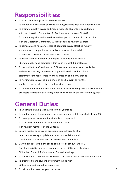#### **Responsibilities:**

- 1. To attend all meetings as required by the role;
- 2. To maintain an awareness of issues affecting students with different disabilities.
- 3. To promote equality issues and good practice to students in consultation with the Liberation Committee, SU Presidents and relevant SU staff;
- 4. To promote equality within services and support to students in consultation with the Liberation Committee, SU Presidents and relevant SU staff;
- 5. To campaign and raise awareness of liberation issues affecting minority student groups; in particular those issues surrounding disability;
- 6. To liaise with relevant student liberation societies;
- 7. To work with the Liberation Committee to help develop effective liberation policy and practices within SU in line with SU protocols;
- 8. To work with SU staff and elected Officers to review services and activities and ensure that they promote and support liberation and provide a platform for the representation and expression of minority groups;
- 9. To work towards ensuring a minimum of one SU event during the academic year is held to focus on liberation issues;
- 10. To represent the student view and experience when working with the SU to submit proposals for relevant activity together which supports the accessibility agenda.

#### **General Duties:**

- 1. To undertake training as required to fulfil your role;
- 2. To conduct yourself appropriately as a public representative of students and SU.
- 3. To make yourself known to the students you represent;
- 4. To effectively communicate information and plans with relevant members of the SU team;
- 5. Ensure that SU policies and procedures are adhered to at all times, and where appropriate, make recommendations and contribute to the amendment or development of a policy;
- 6. Carry out duties within the scope of the role as set out in the SU Constitution & By-laws or as mandated by the SU Board of Trustees, SU Student Council, Referenda and General Meetings;
- 7. To contribute to a written report to the SU Student Council on duties undertaken.
- 8. To promote SU and student involvement in line with SU branding and marketing guidelines.
- 9. To deliver a handover for your successor.